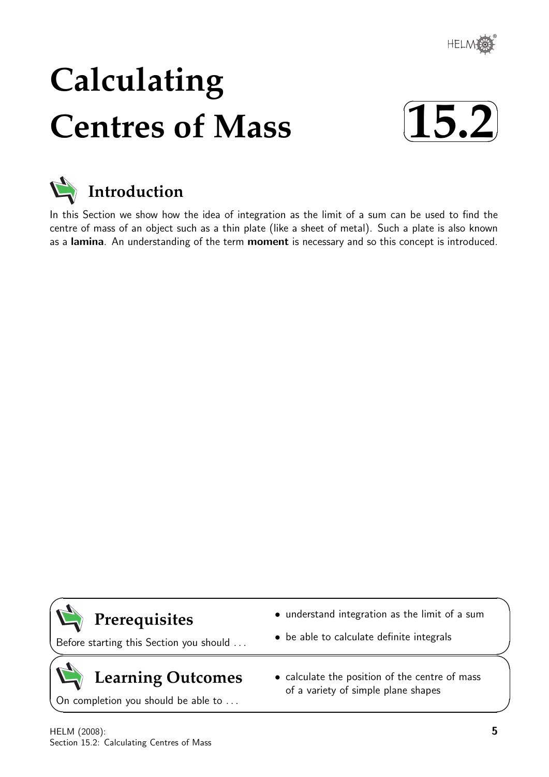

# **Calculating Centres of Mass**





In this Section we show how the idea of integration as the limit of a sum can be used to find the centre of mass of an object such as a thin plate (like a sheet of metal). Such a plate is also known as a lamina. An understanding of the term moment is necessary and so this concept is introduced.

### **Prerequisites**

 $\overline{\phantom{0}}$ 

 $\geq$ 

 $\geq$ 

 $\overline{\phantom{0}}$ 

Before starting this Section you should . . .

## **Learning Outcomes**

On completion you should be able to ...

- understand integration as the limit of a sum
- be able to calculate definite integrals
- calculate the position of the centre of mass of a variety of simple plane shapes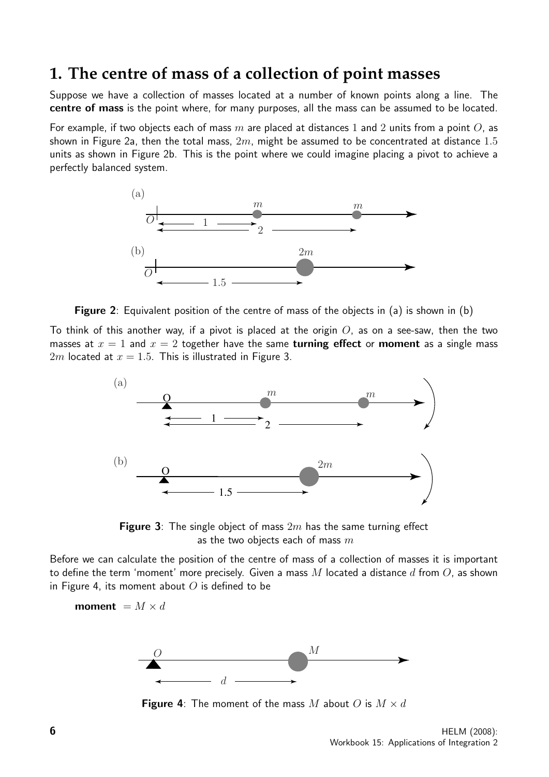### **1. The centre of mass of a collection of point masses**

Suppose we have a collection of masses located at a number of known points along a line. The centre of mass is the point where, for many purposes, all the mass can be assumed to be located.

For example, if two objects each of mass m are placed at distances 1 and 2 units from a point O, as shown in Figure 2a, then the total mass,  $2m$ , might be assumed to be concentrated at distance 1.5 units as shown in Figure 2b. This is the point where we could imagine placing a pivot to achieve a perfectly balanced system.



Figure 2: Equivalent position of the centre of mass of the objects in (a) is shown in (b)

To think of this another way, if a pivot is placed at the origin  $O$ , as on a see-saw, then the two masses at  $x = 1$  and  $x = 2$  together have the same **turning effect** or **moment** as a single mass 2m located at  $x = 1.5$ . This is illustrated in Figure 3.



**Figure 3**: The single object of mass  $2m$  has the same turning effect as the two objects each of mass  $m$ 

Before we can calculate the position of the centre of mass of a collection of masses it is important to define the term 'moment' more precisely. Given a mass  $M$  located a distance  $d$  from  $O$ , as shown in Figure 4, its moment about  $O$  is defined to be

moment =  $M \times d$ 



**Figure 4:** The moment of the mass M about O is  $M \times d$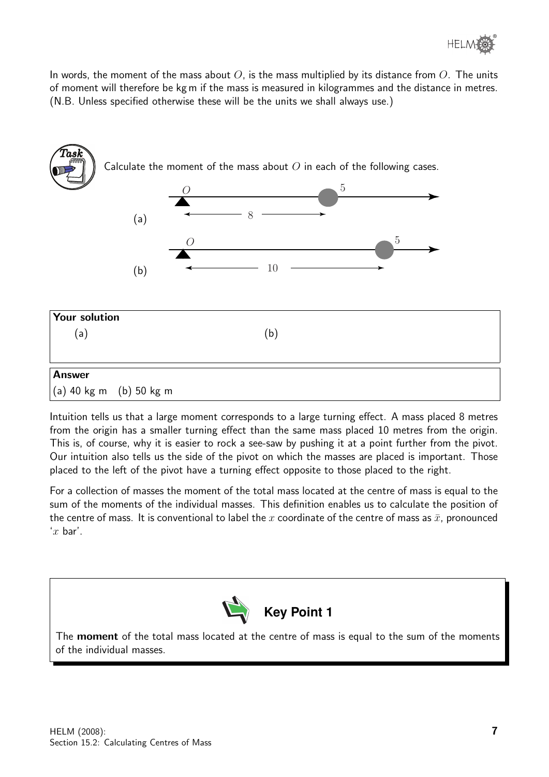In words, the moment of the mass about  $O$ , is the mass multiplied by its distance from  $O$ . The units of moment will therefore be kg m if the mass is measured in kilogrammes and the distance in metres. (N.B. Unless specified otherwise these will be the units we shall always use.)



Intuition tells us that a large moment corresponds to a large turning effect. A mass placed 8 metres from the origin has a smaller turning effect than the same mass placed 10 metres from the origin. This is, of course, why it is easier to rock a see-saw by pushing it at a point further from the pivot. Our intuition also tells us the side of the pivot on which the masses are placed is important. Those placed to the left of the pivot have a turning effect opposite to those placed to the right.

For a collection of masses the moment of the total mass located at the centre of mass is equal to the sum of the moments of the individual masses. This definition enables us to calculate the position of the centre of mass. It is conventional to label the x coordinate of the centre of mass as  $\bar{x}$ , pronounced  $x$  bar'.



The **moment** of the total mass located at the centre of mass is equal to the sum of the moments of the individual masses.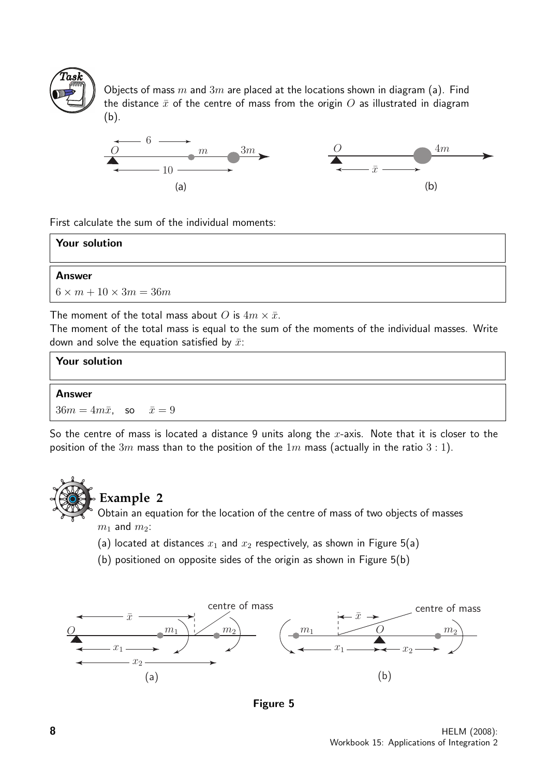

Objects of mass m and  $3m$  are placed at the locations shown in diagram (a). Find the distance  $\bar{x}$  of the centre of mass from the origin  $O$  as illustrated in diagram (b).



First calculate the sum of the individual moments:

| Your solution                                                 |
|---------------------------------------------------------------|
| <b>Answer</b>                                                 |
| $6 \times m + 10 \times 3m = 36m$                             |
| The moment of the total mass about O is $4m \times \bar{x}$ . |

The moment of the total mass is equal to the sum of the moments of the individual masses. Write down and solve the equation satisfied by  $\bar{x}$ :

| Your solution                        |  |
|--------------------------------------|--|
| <b>Answer</b>                        |  |
| $36m = 4m\bar{x}$ , so $\bar{x} = 9$ |  |

So the centre of mass is located a distance 9 units along the x-axis. Note that it is closer to the position of the  $3m$  mass than to the position of the  $1m$  mass (actually in the ratio  $3:1$ ).



### **Example 2**

Obtain an equation for the location of the centre of mass of two objects of masses  $m_1$  and  $m_2$ :

- (a) located at distances  $x_1$  and  $x_2$  respectively, as shown in Figure 5(a)
- (b) positioned on opposite sides of the origin as shown in Figure 5(b)



Figure 5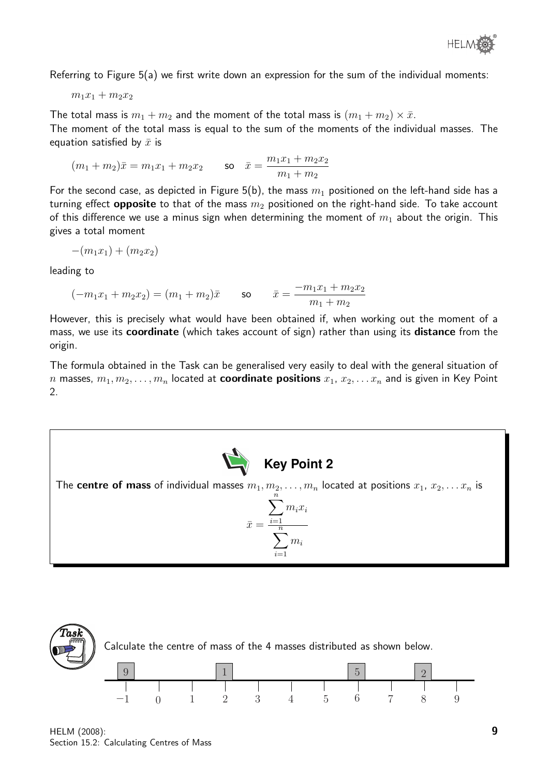Referring to Figure 5(a) we first write down an expression for the sum of the individual moments:

$$
m_1x_1+m_2x_2
$$

The total mass is  $m_1 + m_2$  and the moment of the total mass is  $(m_1 + m_2) \times \bar{x}$ . The moment of the total mass is equal to the sum of the moments of the individual masses. The equation satisfied by  $\bar{x}$  is

$$
(m_1+m_2)\bar{x}=m_1x_1+m_2x_2 \qquad \text{so} \quad \bar{x}=\frac{m_1x_1+m_2x_2}{m_1+m_2}
$$

For the second case, as depicted in Figure 5(b), the mass  $m_1$  positioned on the left-hand side has a turning effect **opposite** to that of the mass  $m_2$  positioned on the right-hand side. To take account of this difference we use a minus sign when determining the moment of  $m_1$  about the origin. This gives a total moment

$$
-(m_1x_1) + (m_2x_2)
$$

leading to

$$
(-m_1x_1 + m_2x_2) = (m_1 + m_2)\bar{x}
$$
 so  $\bar{x} = \frac{-m_1x_1 + m_2x_2}{m_1 + m_2}$ 

However, this is precisely what would have been obtained if, when working out the moment of a mass, we use its **coordinate** (which takes account of sign) rather than using its **distance** from the origin.

The formula obtained in the Task can be generalised very easily to deal with the general situation of n masses,  $m_1, m_2, \ldots, m_n$  located at **coordinate positions**  $x_1, x_2, \ldots x_n$  and is given in Key Point 2.



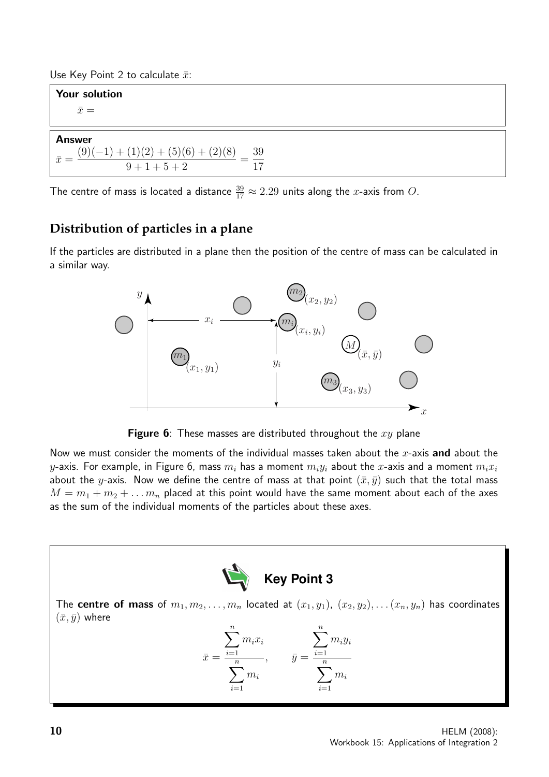Use Key Point 2 to calculate  $\bar{x}$ :

Your solution  $\bar{x} =$ 

#### Answer

 $\bar{x} =$  $(9)(-1) + (1)(2) + (5)(6) + (2)(8)$  $9 + 1 + 5 + 2$ = 39 17

The centre of mass is located a distance  $\frac{39}{17} \approx 2.29$  units along the x-axis from  $O$ .

#### **Distribution of particles in a plane**

If the particles are distributed in a plane then the position of the centre of mass can be calculated in a similar way.



**Figure 6:** These masses are distributed throughout the  $xy$  plane

Now we must consider the moments of the individual masses taken about the  $x$ -axis and about the y-axis. For example, in Figure 6, mass  $m_i$  has a moment  $m_i y_i$  about the x-axis and a moment  $m_i x_i$ about the y-axis. Now we define the centre of mass at that point  $(\bar{x}, \bar{y})$  such that the total mass  $M = m_1 + m_2 + \ldots m_n$  placed at this point would have the same moment about each of the axes as the sum of the individual moments of the particles about these axes.

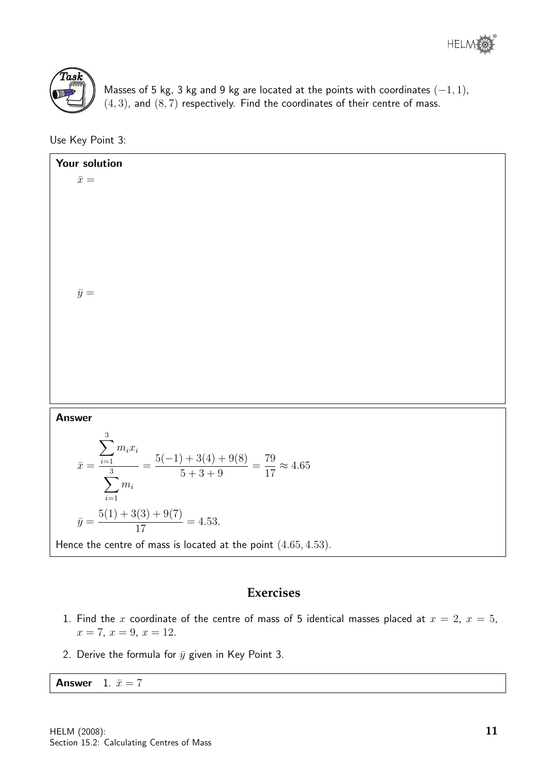



Masses of 5 kg, 3 kg and 9 kg are located at the points with coordinates  $(-1, 1)$ ,  $(4, 3)$ , and  $(8, 7)$  respectively. Find the coordinates of their centre of mass.

Use Key Point 3:

Your solution  $\bar{x} =$  $\bar{y} =$ Answer  $\bar{x} =$  $\sum$ 3  $i=1$  $m_i x_i$  $\sum$ 3  $i=1$  $m_i$ =  $5(-1) + 3(4) + 9(8)$  $5 + 3 + 9$ = 79 17  $\approx 4.65$  $\bar{y} =$  $5(1) + 3(3) + 9(7)$ 17  $= 4.53.$ Hence the centre of mass is located at the point  $(4.65, 4.53)$ .

#### **Exercises**

- 1. Find the x coordinate of the centre of mass of 5 identical masses placed at  $x = 2$ ,  $x = 5$ ,  $x = 7, x = 9, x = 12.$
- 2. Derive the formula for  $\bar{y}$  given in Key Point 3.

**Answer** 1.  $\bar{x} = 7$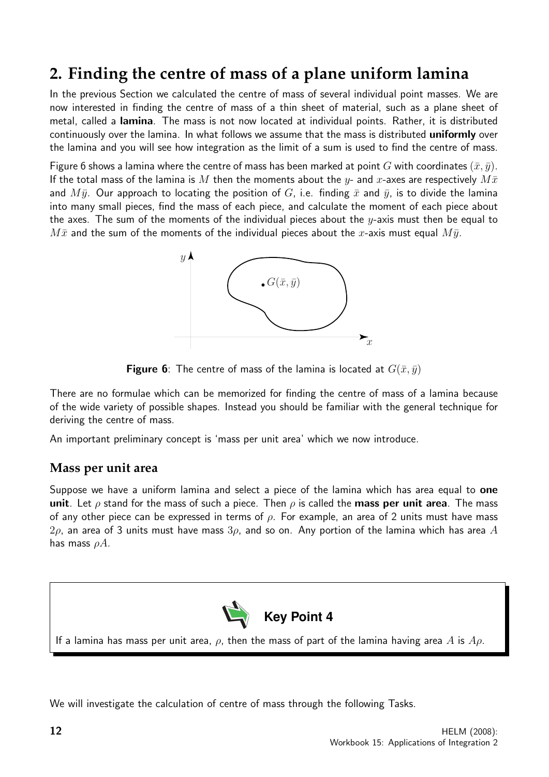### **2. Finding the centre of mass of a plane uniform lamina**

In the previous Section we calculated the centre of mass of several individual point masses. We are now interested in finding the centre of mass of a thin sheet of material, such as a plane sheet of metal, called a lamina. The mass is not now located at individual points. Rather, it is distributed continuously over the lamina. In what follows we assume that the mass is distributed uniformly over the lamina and you will see how integration as the limit of a sum is used to find the centre of mass.

Figure 6 shows a lamina where the centre of mass has been marked at point G with coordinates  $(\bar{x}, \bar{y})$ . If the total mass of the lamina is M then the moments about the y- and x-axes are respectively  $M\bar{x}$ and  $M\bar{y}$ . Our approach to locating the position of G, i.e. finding  $\bar{x}$  and  $\bar{y}$ , is to divide the lamina into many small pieces, find the mass of each piece, and calculate the moment of each piece about the axes. The sum of the moments of the individual pieces about the  $y$ -axis must then be equal to  $M\bar{x}$  and the sum of the moments of the individual pieces about the x-axis must equal  $M\bar{y}$ .



**Figure 6**: The centre of mass of the lamina is located at  $G(\bar{x}, \bar{y})$ 

There are no formulae which can be memorized for finding the centre of mass of a lamina because of the wide variety of possible shapes. Instead you should be familiar with the general technique for deriving the centre of mass.

An important preliminary concept is 'mass per unit area' which we now introduce.

#### **Mass per unit area**

Suppose we have a uniform lamina and select a piece of the lamina which has area equal to **one** unit. Let  $\rho$  stand for the mass of such a piece. Then  $\rho$  is called the mass per unit area. The mass of any other piece can be expressed in terms of  $\rho$ . For example, an area of 2 units must have mass  $2\rho$ , an area of 3 units must have mass  $3\rho$ , and so on. Any portion of the lamina which has area A has mass  $\rho A$ .



If a lamina has mass per unit area,  $\rho$ , then the mass of part of the lamina having area A is  $A\rho$ .

We will investigate the calculation of centre of mass through the following Tasks.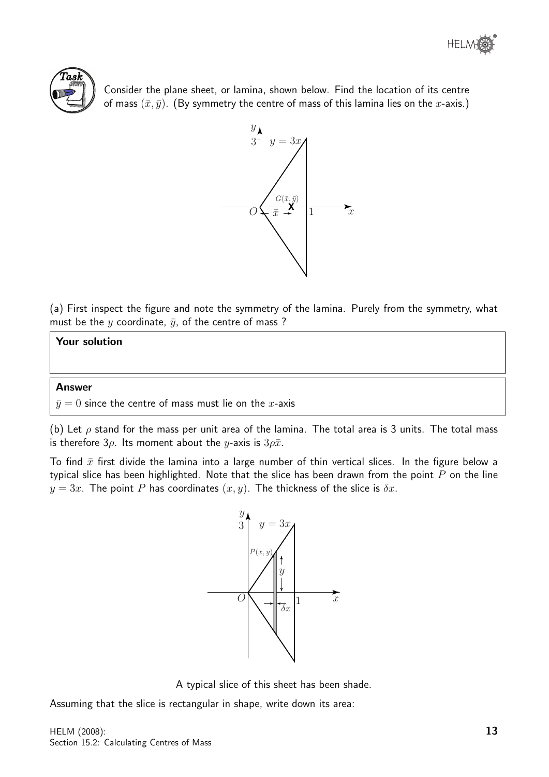



Consider the plane sheet, or lamina, shown below. Find the location of its centre of mass  $(\bar{x}, \bar{y})$ . (By symmetry the centre of mass of this lamina lies on the x-axis.)



(a) First inspect the figure and note the symmetry of the lamina. Purely from the symmetry, what must be the y coordinate,  $\bar{y}$ , of the centre of mass ?

#### Your solution

#### Answer

 $\bar{y}=0$  since the centre of mass must lie on the x-axis

(b) Let  $\rho$  stand for the mass per unit area of the lamina. The total area is 3 units. The total mass is therefore  $3\rho$ . Its moment about the *y*-axis is  $3\rho \bar{x}$ .

To find  $\bar{x}$  first divide the lamina into a large number of thin vertical slices. In the figure below a typical slice has been highlighted. Note that the slice has been drawn from the point  $P$  on the line  $y = 3x$ . The point P has coordinates  $(x, y)$ . The thickness of the slice is  $\delta x$ .



A typical slice of this sheet has been shade.

Assuming that the slice is rectangular in shape, write down its area: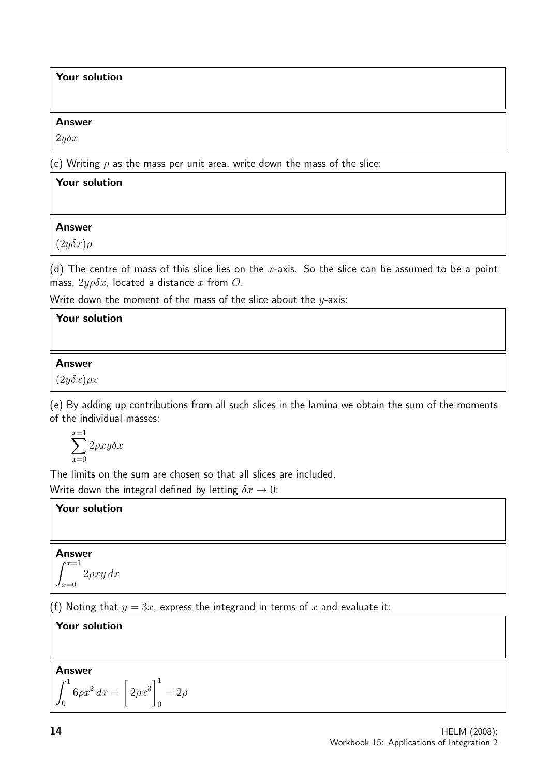#### Your solution

#### Answer

 $2y\delta x$ 

(c) Writing  $\rho$  as the mass per unit area, write down the mass of the slice:

| Your solution      |  |
|--------------------|--|
|                    |  |
| <b>Answer</b>      |  |
| $(2y\delta x)\rho$ |  |
|                    |  |

(d) The centre of mass of this slice lies on the x-axis. So the slice can be assumed to be a point mass,  $2y\rho\delta x$ , located a distance x from O.

Write down the moment of the mass of the slice about the  $y$ -axis:

#### Your solution

#### Answer

 $(2y\delta x)\rho x$ 

(e) By adding up contributions from all such slices in the lamina we obtain the sum of the moments of the individual masses:

$$
\sum_{x=0}^{x=1} 2\rho xy \delta x
$$

The limits on the sum are chosen so that all slices are included. Write down the integral defined by letting  $\delta x \to 0$ :

#### Your solution

### Answer  $r^{x=1}$

$$
\int_{x=0} 2\rho xy \, dx
$$

(f) Noting that  $y = 3x$ , express the integrand in terms of x and evaluate it:

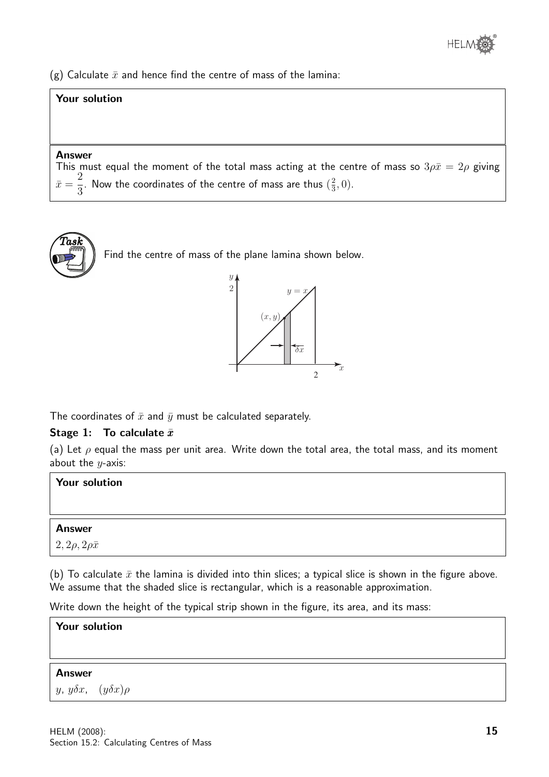(g) Calculate  $\bar{x}$  and hence find the centre of mass of the lamina:

#### Your solution

#### Answer

This must equal the moment of the total mass acting at the centre of mass so  $3\rho\bar{x}=2\rho$  giving  $\bar{x} =$ 2 3 . Now the coordinates of the centre of mass are thus  $(\frac{2}{3})$  $\frac{2}{3}, 0$ ).



Find the centre of mass of the plane lamina shown below.



The coordinates of  $\bar{x}$  and  $\bar{y}$  must be calculated separately.

#### Stage 1: To calculate  $\bar{x}$

(a) Let  $\rho$  equal the mass per unit area. Write down the total area, the total mass, and its moment about the  $y$ -axis:

| <b>Your solution</b>               |  |
|------------------------------------|--|
|                                    |  |
| <b>Answer</b>                      |  |
| $\mid 2, 2\rho, 2\rho\bar{x} \mid$ |  |

(b) To calculate  $\bar{x}$  the lamina is divided into thin slices; a typical slice is shown in the figure above. We assume that the shaded slice is rectangular, which is a reasonable approximation.

Write down the height of the typical strip shown in the figure, its area, and its mass:

| <b>Your solution</b>            |  |
|---------------------------------|--|
|                                 |  |
| <b>Answer</b>                   |  |
| $y, y\delta x, (y\delta x)\rho$ |  |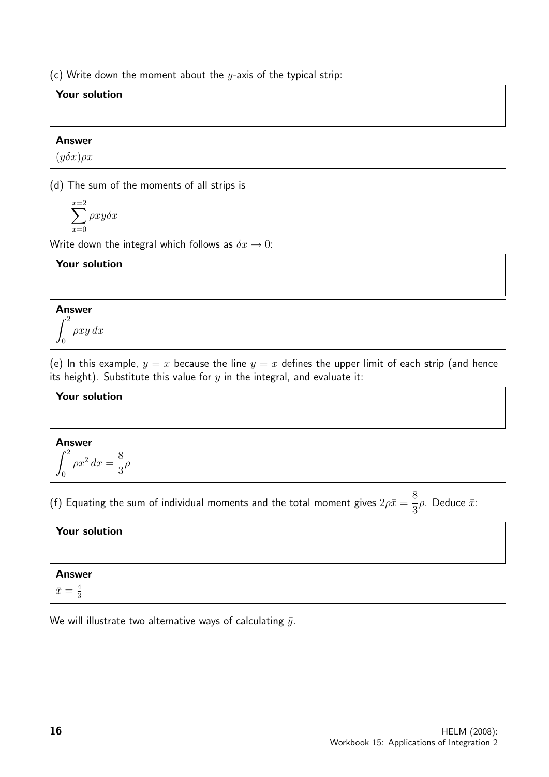(c) Write down the moment about the  $y$ -axis of the typical strip:

#### Your solution

#### Answer

 $(y\delta x)\rho x$ 

(d) The sum of the moments of all strips is

$$
\sum_{x=0}^{x=2}\rho xy\delta x
$$

Write down the integral which follows as  $\delta x \to 0$ :

#### Your solution

#### Answer  $\int_0^2$  $\mathbf{0}$ ρxy dx

(e) In this example,  $y = x$  because the line  $y = x$  defines the upper limit of each strip (and hence its height). Substitute this value for  $y$  in the integral, and evaluate it:

#### Your solution

#### Answer

$$
\int_0^2 \rho x^2 dx = \frac{8}{3}\rho
$$

(f) Equating the sum of individual moments and the total moment gives  $2\rho\bar{x}=$ 8 3  $ρ$ . Deduce  $\bar{x}$ :

| Your solution         |  |
|-----------------------|--|
|                       |  |
| <b>Answer</b>         |  |
| $\bar{x}=\frac{4}{2}$ |  |

We will illustrate two alternative ways of calculating  $\bar{y}$ .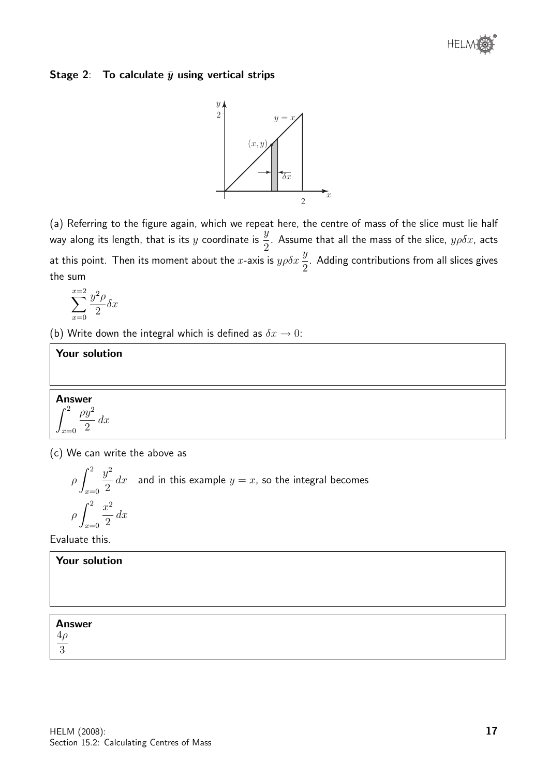

#### Stage 2: To calculate  $\bar{y}$  using vertical strips



(a) Referring to the figure again, which we repeat here, the centre of mass of the slice must lie half way along its length, that is its y coordinate is  $\frac{y}{2}$ 2 . Assume that all the mass of the slice,  $y\rho\delta x$ , acts at this point. Then its moment about the x-axis is  $y \rho \delta x \frac{y}{\delta}$ 2 . Adding contributions from all slices gives the sum

$$
\sum_{x=0}^{x=2} \frac{y^2 \rho}{2} \delta x
$$

(b) Write down the integral which is defined as  $\delta x \rightarrow 0$ :

#### Your solution

2  $dx$ 

Answer  $\int_0^2$  $\rho y^2$ 

 $x=0$ 

(c) We can write the above as

$$
\rho \int_{x=0}^{2} \frac{y^2}{2} dx
$$
 and in this example  $y = x$ , so the integral becomes  

$$
\rho \int_{x=0}^{2} \frac{x^2}{2} dx
$$

Evaluate this.

| Your solution          |  |  |
|------------------------|--|--|
|                        |  |  |
|                        |  |  |
| <b>Answer</b>          |  |  |
| $\frac{4\rho}{ }$<br>3 |  |  |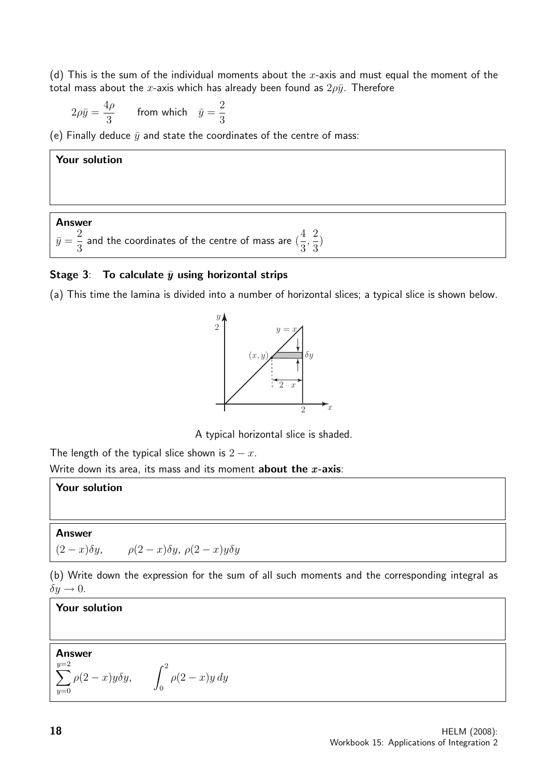(d) This is the sum of the individual moments about the x-axis and must equal the moment of the total mass about the x-axis which has already been found as  $2\rho\bar{y}$ . Therefore

$$
2\rho\bar{y}=\frac{4\rho}{3}\qquad\text{from which}\quad\bar{y}=\frac{2}{3}
$$

(e) Finally deduce  $\bar{y}$  and state the coordinates of the centre of mass:

#### Your solution

#### Answer

 $\bar{y} =$ 2 3 and the coordinates of the centre of mass are ( 4 3 , 2 3 )

#### Stage 3: To calculate  $\bar{y}$  using horizontal strips

(a) This time the lamina is divided into a number of horizontal slices; a typical slice is shown below.



A typical horizontal slice is shaded.

The length of the typical slice shown is  $2 - x$ .

Write down its area, its mass and its moment **about the x-axis**:

#### Your solution

#### Answer

 $(2-x)\delta y$ ,  $\rho(2-x)\delta y$ ,  $\rho(2-x)y\delta y$ 

(b) Write down the expression for the sum of all such moments and the corresponding integral as  $\delta y \rightarrow 0$ .

#### Your solution

#### Answer  $\sum$  $y=2$  $y=0$  $\rho(2-x)y\delta y, \qquad \int_0^2$  $\boldsymbol{0}$  $\rho(2-x)y dy$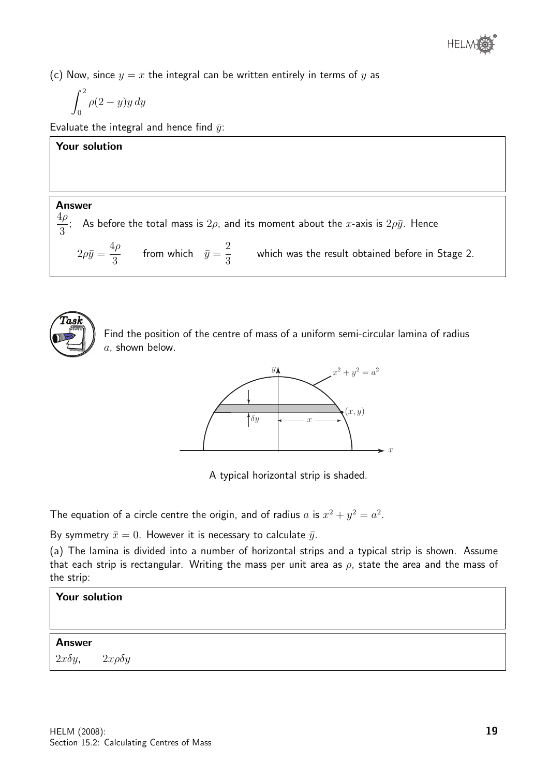(c) Now, since  $y = x$  the integral can be written entirely in terms of y as

$$
\int_0^2 \rho(2-y)y\,dy
$$

Evaluate the integral and hence find  $\bar{y}$ :

#### Your solution

#### Answer

4ρ 3 ; As before the total mass is  $2\rho$ , and its moment about the  $x$ -axis is  $2\rho\bar{y}$ . Hence

 $2\rho\bar{y} =$  $4\rho$ 3 from which  $\bar{y} =$ 2 3 which was the result obtained before in Stage 2.



Find the position of the centre of mass of a uniform semi-circular lamina of radius  $a$ , shown below.



A typical horizontal strip is shaded.

The equation of a circle centre the origin, and of radius a is  $x^2 + y^2 = a^2$ .

By symmetry  $\bar{x}=0$ . However it is necessary to calculate  $\bar{y}$ .

(a) The lamina is divided into a number of horizontal strips and a typical strip is shown. Assume that each strip is rectangular. Writing the mass per unit area as  $\rho$ , state the area and the mass of the strip:

| Your solution                   |                   |
|---------------------------------|-------------------|
| <b>Answer</b><br>$2x\delta y$ , | $2x\rho \delta y$ |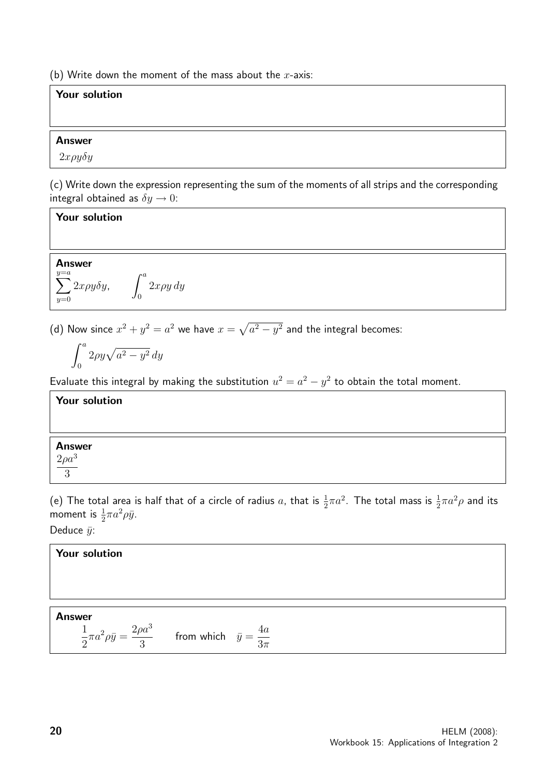(b) Write down the moment of the mass about the  $x$ -axis:

#### Your solution

#### Answer

 $2x\rho y\delta y$ 

(c) Write down the expression representing the sum of the moments of all strips and the corresponding integral obtained as  $\delta y \rightarrow 0$ :

#### Your solution

Answer  $\sum$  $y=a$  $y=0$  $2x\rho y \delta y$ ,  $\int_0^a$  $\boldsymbol{0}$  $2x\rho y dy$ 

(d) Now since  $x^2 + y^2 = a^2$  we have  $x = \sqrt{a^2 - y^2}$  and the integral becomes:

$$
\int_0^a 2\rho y \sqrt{a^2 - y^2} \, dy
$$

Evaluate this integral by making the substitution  $u^2 = a^2 - y^2$  to obtain the total moment.

#### Your solution

#### Answer  $2\rho a^3$

3

(e) The total area is half that of a circle of radius a, that is  $\frac{1}{2}\pi a^2$ . The total mass is  $\frac{1}{2}\pi a^2\rho$  and its moment is  $\frac{1}{2}\pi a^2 \rho \bar{y}$ .

Deduce  $\bar{y}$ :

#### Your solution Answer 1 2  $\pi a^2 \rho \bar{y} =$  $2\rho a^3$ 3 from which  $\bar{y} =$ 4a  $3\pi$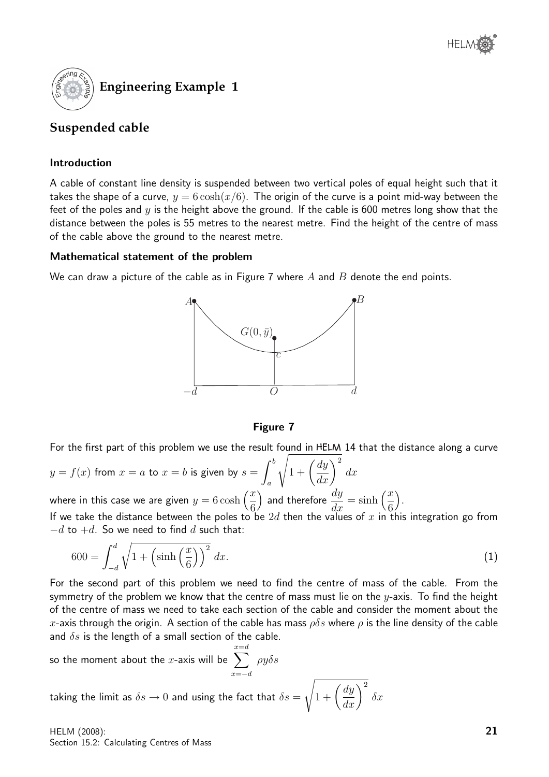

#### **Suspended cable**

#### Introduction

A cable of constant line density is suspended between two vertical poles of equal height such that it takes the shape of a curve,  $y = 6 \cosh(x/6)$ . The origin of the curve is a point mid-way between the feet of the poles and  $y$  is the height above the ground. If the cable is 600 metres long show that the distance between the poles is 55 metres to the nearest metre. Find the height of the centre of mass of the cable above the ground to the nearest metre.

#### Mathematical statement of the problem

We can draw a picture of the cable as in Figure 7 where  $A$  and  $B$  denote the end points.



#### Figure 7

For the first part of this problem we use the result found in HELM 14 that the distance along a curve

$$
y = f(x)
$$
 from  $x = a$  to  $x = b$  is given by  $s = \int_a^b \sqrt{1 + \left(\frac{dy}{dx}\right)^2} dx$   
where in this case we are given  $y = 6 \cosh\left(\frac{x}{a}\right)$  and therefore  $\frac{dy}{dx} = \sin x$ 

6 ) and therefore  $\frac{dy}{dx} = \sinh\left(\frac{x}{6}\right)$  . If we take the distance between the poles to be 2d then the values of x in this integration go from  $-d$  to  $+d$ . So we need to find d such that:

$$
600 = \int_{-d}^{d} \sqrt{1 + \left(\sinh\left(\frac{x}{6}\right)\right)^2} dx.
$$
 (1)

For the second part of this problem we need to find the centre of mass of the cable. From the symmetry of the problem we know that the centre of mass must lie on the  $y$ -axis. To find the height of the centre of mass we need to take each section of the cable and consider the moment about the x-axis through the origin. A section of the cable has mass  $\rho \delta s$  where  $\rho$  is the line density of the cable and  $\delta s$  is the length of a small section of the cable.

so the moment about the *x*-axis will be 
$$
\sum_{x=-d}^{x=d} \rho y \delta s
$$

taking the limit as  $\delta s \rightarrow 0$  and using the fact that  $\delta s =$  $\sqrt{1+\left(\frac{dy}{dx}\right)^2}$  $\delta x$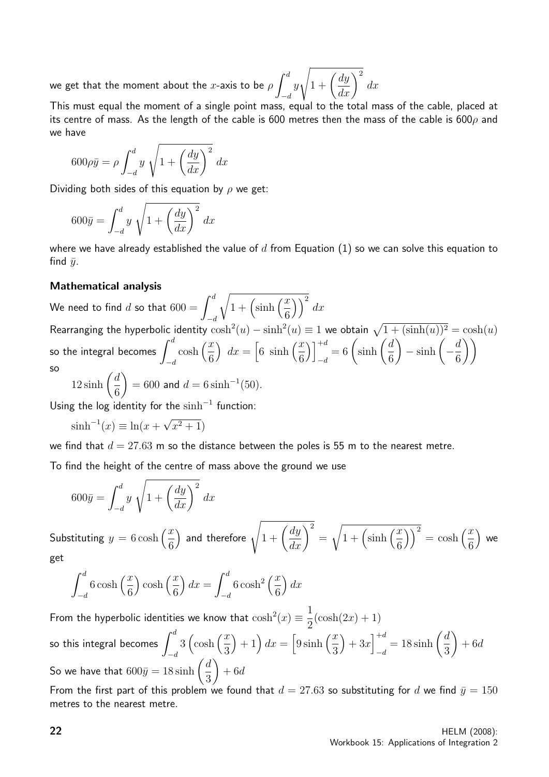we get that the moment about the  $x$ -axis to be  $\rho \int^d$  $-d$  $\hat{y}$  $\sqrt{1+\left(\frac{dy}{dx}\right)^2}$  $dx$ 

This must equal the moment of a single point mass, equal to the total mass of the cable, placed at its centre of mass. As the length of the cable is 600 metres then the mass of the cable is 600 $\rho$  and we have

$$
600\rho\bar{y} = \rho \int_{-d}^{d} y \sqrt{1 + \left(\frac{dy}{dx}\right)^2} dx
$$

Dividing both sides of this equation by  $\rho$  we get:

$$
600\bar{y} = \int_{-d}^{d} y \sqrt{1 + \left(\frac{dy}{dx}\right)^2} dx
$$

where we have already established the value of  $d$  from Equation (1) so we can solve this equation to find  $\bar{u}$ .

#### Mathematical analysis

We need to find  $d$  so that  $600 = \int^d$  $-d$  $\sqrt{1 + \left(\sinh\left(\frac{x}{a}\right)\right)}$ 6  $\big) \big)^2 dx$ Rearranging the hyperbolic identity  $\cosh^2(u) - \sinh^2(u) \equiv 1$  we obtain  $\sqrt{1 + (\sinh(u))^2} = \cosh(u)$ so the integral becomes  $\int^d$  $-d$  $\cosh\left(\frac{x}{a}\right)$ 6  $\int dx = \left[6 \sinh \left(\frac{x}{a}\right)\right]$ 6  $\bigcap^{+d}$  $\frac{+d}{-d} = 6 \left( \sinh \left( \frac{d}{6} \right) \right)$ 6  $-\sinh\left(-\frac{d}{a}\right)$ 6  $\setminus$ so

$$
12\sinh\left(\frac{d}{6}\right) = 600 \text{ and } d = 6\sinh^{-1}(50).
$$

Using the log identity for the  $sinh^{-1}$  function:

 $\sinh^{-1}(x) \equiv \ln(x +$ √  $(x^2+1)$ 

we find that  $d = 27.63$  m so the distance between the poles is 55 m to the nearest metre.

To find the height of the centre of mass above the ground we use

$$
600\bar{y} = \int_{-d}^{d} y \sqrt{1 + \left(\frac{dy}{dx}\right)^2} dx
$$

Substituting  $y = 6 \cosh \left( \frac{x}{a} \right)$ 6 ) and therefore  $\sqrt{1 + \left(\frac{dy}{dx}\right)^2}$ =  $\sqrt{1 + \left(\sinh\left(\frac{x}{a}\right)\right)}$ 6  $\bigg(\bigg)^2 = \cosh\bigg(\frac{x}{a}\bigg)$ 6 we get

$$
\int_{-d}^{d} 6 \cosh\left(\frac{x}{6}\right) \cosh\left(\frac{x}{6}\right) dx = \int_{-d}^{d} 6 \cosh^2\left(\frac{x}{6}\right) dx
$$

From the hyperbolic identities we know that  $\cosh^2(x) \equiv \frac{1}{2}$ 2  $(\cosh(2x) + 1)$ so this integral becomes  $\int^d$  $-d$  $3\left(\cosh\left(\frac{x}{2}\right)\right)$ 3  $\left( \frac{x}{2} \right) + 1 \right) dx = \left[ 9 \sinh \left( \frac{x}{2} \right) \right]$ 3  $+3x\Big]^{+d}$  $\frac{+d}{-d} = 18 \sinh\left(\frac{d}{3}\right)$ 3  $\setminus$  $+ 6d$ So we have that  $600\bar{y} = 18 \sinh \left( \frac{d}{2} \right)$ 3  $\setminus$  $+6d$ 

From the first part of this problem we found that  $d = 27.63$  so substituting for d we find  $\bar{y} = 150$ metres to the nearest metre.